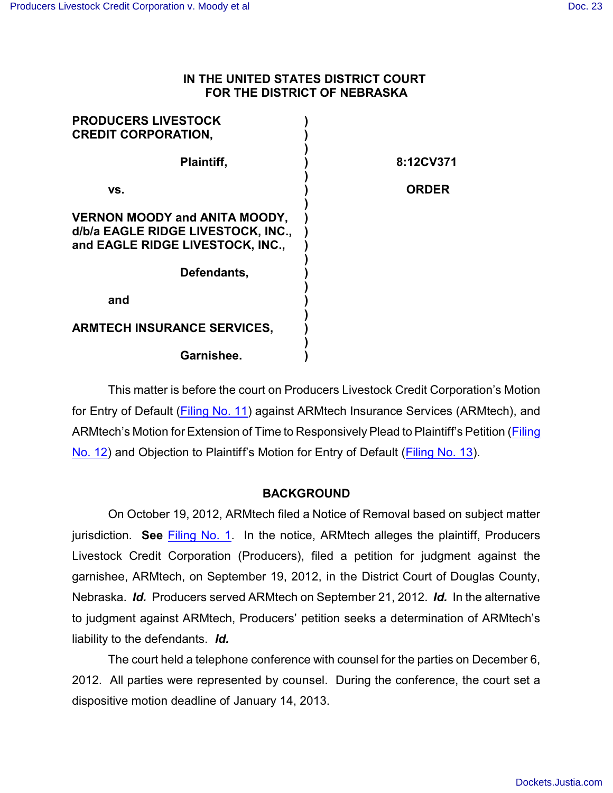## **IN THE UNITED STATES DISTRICT COURT FOR THE DISTRICT OF NEBRASKA**

| <b>PRODUCERS LIVESTOCK</b><br><b>CREDIT CORPORATION,</b>                                                       |              |
|----------------------------------------------------------------------------------------------------------------|--------------|
| Plaintiff,                                                                                                     | 8:12CV371    |
| VS.                                                                                                            | <b>ORDER</b> |
| <b>VERNON MOODY and ANITA MOODY,</b><br>d/b/a EAGLE RIDGE LIVESTOCK, INC.,<br>and EAGLE RIDGE LIVESTOCK, INC., |              |
| Defendants,                                                                                                    |              |
| and                                                                                                            |              |
| <b>ARMTECH INSURANCE SERVICES,</b>                                                                             |              |
| Garnishee.                                                                                                     |              |

This matter is before the court on Producers Livestock Credit Corporation's Motion for Entry of Default [\(Filing No. 11](https://ecf.ned.uscourts.gov/doc1/11302667591)) against ARMtech Insurance Services (ARMtech), and ARMtech's Motion for Extension of Time to Responsively Plead to Plaintiff's Petition [\(Filing](https://ecf.ned.uscourts.gov/doc1/11312669289) [No. 12](https://ecf.ned.uscourts.gov/doc1/11312669289)) and Objection to Plaintiff's Motion for Entry of Default [\(Filing No. 13](https://ecf.ned.uscourts.gov/doc1/11302669803)).

## **BACKGROUND**

On October 19, 2012, ARMtech filed a Notice of Removal based on subject matter jurisdiction. **See** Filing [No. 1](https://ecf.ned.uscourts.gov/doc1/11312633643). In the notice, ARMtech alleges the plaintiff, Producers Livestock Credit Corporation (Producers), filed a petition for judgment against the garnishee, ARMtech, on September 19, 2012, in the District Court of Douglas County, Nebraska. *Id.* Producers served ARMtech on September 21, 2012. *Id.* In the alternative to judgment against ARMtech, Producers' petition seeks a determination of ARMtech's liability to the defendants. *Id.*

The court held a telephone conference with counsel for the parties on December 6, 2012. All parties were represented by counsel. During the conference, the court set a dispositive motion deadline of January 14, 2013.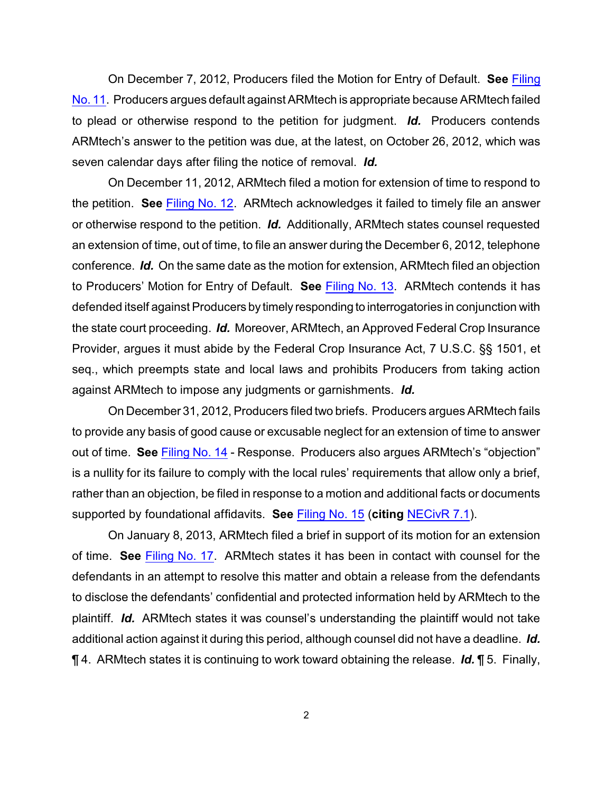On December 7, 2012, Producers filed the Motion for Entry of Default. **See** [Filing](https://ecf.ned.uscourts.gov/doc1/11302667591) [No. 11](https://ecf.ned.uscourts.gov/doc1/11302667591). Producers argues default against ARMtech is appropriate because ARMtech failed to plead or otherwise respond to the petition for judgment. *Id.* Producers contends ARMtech's answer to the petition was due, at the latest, on October 26, 2012, which was seven calendar days after filing the notice of removal. *Id.*

On December 11, 2012, ARMtech filed a motion for extension of time to respond to the petition. **See** [Filing No. 12](https://ecf.ned.uscourts.gov/doc1/11312669289). ARMtech acknowledges it failed to timely file an answer or otherwise respond to the petition. *Id.* Additionally, ARMtech states counsel requested an extension of time, out of time, to file an answer during the December 6, 2012, telephone conference. *Id.* On the same date as the motion for extension, ARMtech filed an objection to Producers' Motion for Entry of Default. **See** Filing [No. 13](https://ecf.ned.uscourts.gov/doc1/11302669803). ARMtech contends it has defended itself against Producers by timely responding to interrogatories in conjunction with the state court proceeding. *Id.* Moreover, ARMtech, an Approved Federal Crop Insurance Provider, argues it must abide by the Federal Crop Insurance Act, 7 U.S.C. §§ 1501, et seq., which preempts state and local laws and prohibits Producers from taking action against ARMtech to impose any judgments or garnishments. *Id.*

On December 31, 2012, Producers filed two briefs. Producers argues ARMtech fails to provide any basis of good cause or excusable neglect for an extension of time to answer out of time. **See** Filing [No. 14](https://ecf.ned.uscourts.gov/doc1/11312681843) - Response. Producers also argues ARMtech's "objection" is a nullity for its failure to comply with the local rules' requirements that allow only a brief, rather than an objection, be filed in response to a motion and additional facts or documents supported by foundational affidavits. **See** [Filing No. 15](https://ecf.ned.uscourts.gov/doc1/11312681849) (**citing** [NECivR 7.1](http://www.ned.uscourts.gov/localrules/rules12/NECivR/7.1.pdf)).

On January 8, 2013, ARMtech filed a brief in support of its motion for an extension of time. **See** Filing [No. 17](https://ecf.ned.uscourts.gov/doc1/11302687725). ARMtech states it has been in contact with counsel for the defendants in an attempt to resolve this matter and obtain a release from the defendants to disclose the defendants' confidential and protected information held by ARMtech to the plaintiff. *Id.* ARMtech states it was counsel's understanding the plaintiff would not take additional action against it during this period, although counsel did not have a deadline. *Id.* ¶ 4. ARMtech states it is continuing to work toward obtaining the release. *Id.* ¶ 5. Finally,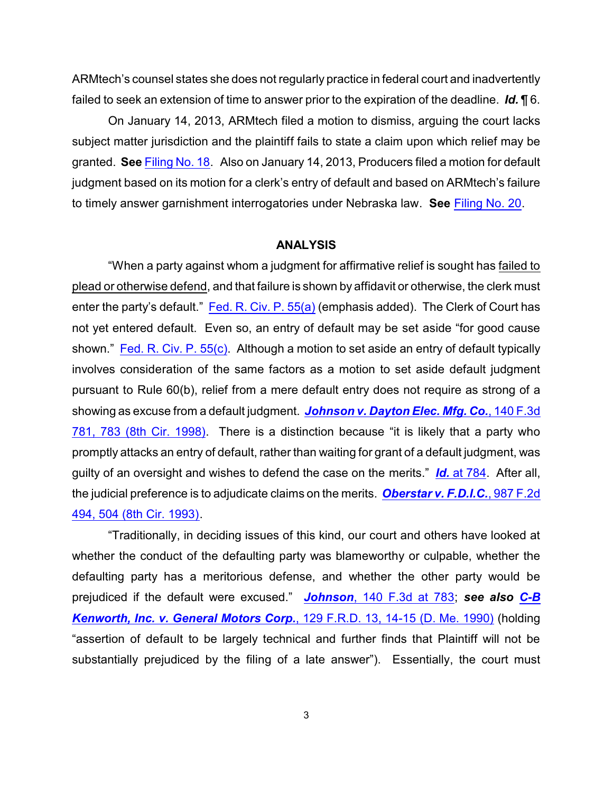ARMtech's counsel states she does not regularly practice in federal court and inadvertently failed to seek an extension of time to answer prior to the expiration of the deadline. *Id.* ¶ 6.

On January 14, 2013, ARMtech filed a motion to dismiss, arguing the court lacks subject matter jurisdiction and the plaintiff fails to state a claim upon which relief may be granted. **See** Filing [No. 18](https://ecf.ned.uscourts.gov/doc1/11312692544). Also on January 14, 2013, Producers filed a motion for default judgment based on its motion for a clerk's entry of default and based on ARMtech's failure to timely answer garnishment interrogatories under Nebraska law. **See** [Filing No. 20](https://ecf.ned.uscourts.gov/doc1/11312692706).

## **ANALYSIS**

"When a party against whom a judgment for affirmative relief is sought has failed to plead or otherwise defend, and that failure is shown by affidavit or otherwise, the clerk must enter the party's default." [Fed. R. Civ. P. 55\(a\)](http://www.westlaw.com/find/default.wl?rs=CLWP3.0&vr=2.0&cite=FRCP+55) (emphasis added). The Clerk of Court has not yet entered default. Even so, an entry of default may be set aside "for good cause shown." [Fed. R. Civ. P. 55\(c\)](http://www.westlaw.com/find/default.wl?rs=CLWP3.0&vr=2.0&cite=FRCP+55). Although a motion to set aside an entry of default typically involves consideration of the same factors as a motion to set aside default judgment pursuant to Rule 60(b), relief from a mere default entry does not require as strong of a showing as excuse from a default judgment. *[Johnson v. Dayton Elec. Mfg. Co.](http://www.westlaw.com/find/default.wl?rs=CLWP3.0&vr=2.0&cite=140+F.3d+781)*, 140 F.3d [781, 783 \(8th Cir. 1998\)](http://www.westlaw.com/find/default.wl?rs=CLWP3.0&vr=2.0&cite=140+F.3d+781). There is a distinction because "it is likely that a party who promptly attacks an entry of default, rather than waiting for grant of a default judgment, was guilty of an oversight and wishes to defend the case on the merits." *Id.* [at 784](http://www.westlaw.com/find/default.wl?rs=CLWP3.0&vr=2.0&cite=140+F.3d+784). After all, the judicial preference is to adjudicate claims on the merits. *[Oberstar v. F.D.I.C.](http://www.westlaw.com/find/default.wl?rs=CLWP3.0&vr=2.0&cite=987+F.2d+494)*, 987 F.2d [494, 504 \(8th Cir. 1993\)](http://www.westlaw.com/find/default.wl?rs=CLWP3.0&vr=2.0&cite=987+F.2d+494).

"Traditionally, in deciding issues of this kind, our court and others have looked at whether the conduct of the defaulting party was blameworthy or culpable, whether the defaulting party has a meritorious defense, and whether the other party would be prejudiced if the default were excused." *Johnson*[, 140 F.3d at](http://www.westlaw.com/find/default.wl?rs=CLWP3.0&vr=2.0&cite=140+F.3d+783) 783; *see also [C-B](http://www.westlaw.com/find/default.wl?rs=CLWP3.0&vr=2.0&cite=129+F.R.D.+13) [Kenworth, Inc. v. General Motors Corp.](http://www.westlaw.com/find/default.wl?rs=CLWP3.0&vr=2.0&cite=129+F.R.D.+13)*, 129 F.R.D. 13, 14-15 (D. Me. 1990) (holding "assertion of default to be largely technical and further finds that Plaintiff will not be substantially prejudiced by the filing of a late answer"). Essentially, the court must